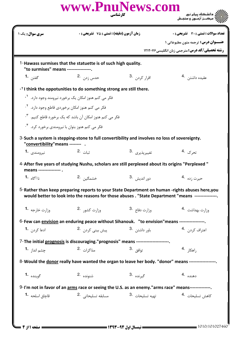| <b>سری سوال :</b> یک ۱               |                                                                                                                                                                                                                        | زمان آزمون (دقیقه) : تستی : 75 ٪ تشریحی : 0                                                        |                             |
|--------------------------------------|------------------------------------------------------------------------------------------------------------------------------------------------------------------------------------------------------------------------|----------------------------------------------------------------------------------------------------|-----------------------------|
|                                      |                                                                                                                                                                                                                        | <b>عنــوان درس:</b> ترجمه متون مطبوعاتی 1<br><b>رشته تحصیلی/کد درس: مترجمی زبان انگلیسی 121207</b> |                             |
| "to surmises" means ---------------. | 1-Hawass surmises that the statuette is of such high quality.                                                                                                                                                          |                                                                                                    |                             |
| گفتن <b>1.</b>                       | حدس زدن .2                                                                                                                                                                                                             | اقرا <sub>ر</sub> کړد <sub>ن</sub> .3                                                              | عقیده داشتن 4.              |
|                                      | - <sup>Y</sup> I think the oppotunities to do something strong are still there.                                                                                                                                        |                                                                                                    |                             |
|                                      | فکر می کنم هنوز امکان یک برخورد نیرومند وجود دارد. <sup>۱</sup> ۰                                                                                                                                                      |                                                                                                    |                             |
|                                      | فکر می کنم هنوز امکان برخوردی قاطع وجود دارد. <sup>۲</sup> ۰                                                                                                                                                           |                                                                                                    |                             |
|                                      | فکر می کنم هنوز امکان آن باشد که یک برخورد قاطع کنیم. <sup>۳</sup> ۰                                                                                                                                                   |                                                                                                    |                             |
|                                      | فکر می کنم هنوز بتوان با نیرومندی برخورد کرد. <sup>۴</sup> ۰                                                                                                                                                           |                                                                                                    |                             |
| "convertibility" means --------      | 3-Such a system is stepping-stone to full convertibility and involves no loss of sovereignty.                                                                                                                          |                                                                                                    |                             |
| نيرومندي <b>1.</b>                   | ثيات <sup>.2</sup>                                                                                                                                                                                                     | تغييرپذيري .3                                                                                      | تحرک .4                     |
| means ---------------- .             | 4-After five years of studying Nushu, scholars are still perplexed about its origins "Perplexed"                                                                                                                       |                                                                                                    |                             |
| نا آگاه <b>1۰</b>                    | خشمگىن .2                                                                                                                                                                                                              | دور انديش <sup>.3</sup>                                                                            | حيرت ;ده 4.                 |
| وزارت خارجه <sup>1</sup> ۰           | 5-Rather than keep preparing reports to your State Department on human -rights abuses here, you<br>would better to look into the reasons for those abuses . "State Department "means ---------------.<br>وزارت كشور 2. | وزارت دفاع <sup>.3</sup>                                                                           | وزارت بهداشت 4.             |
|                                      | 6-Few can envision an enduring peace without Sihanouk. "to envision" means -----------------                                                                                                                           |                                                                                                    |                             |
| ادعا کردن <b>1</b> ۰                 | پیش بین <i>ی</i> کردن 2.                                                                                                                                                                                               | باور داشتن . 3                                                                                     | اعتراف کردن۔ <sup>4</sup> ۰ |
|                                      | 7-The initial prognosis is discouraging."prognosis" means ----------------------                                                                                                                                       |                                                                                                    |                             |
| جشم انداز. <b>-1</b>                 | مذاكرات 2.                                                                                                                                                                                                             | توافق . <sup>3</sup>                                                                               | راهكا <sub>،</sub> 4.       |
|                                      | 8-Would the donor really have wanted the organ to leave her body. "donor" means ---------------                                                                                                                        |                                                                                                    |                             |
| گوينده 1.                            | شنونده .2                                                                                                                                                                                                              | گي <sub>رنده</sub> .3                                                                              | دهنده .4                    |
|                                      | 9-I'm not in favor of an arms race or seeing the U.S. as an enemy."arms race" means--------------.                                                                                                                     |                                                                                                    |                             |
| قاچاق اسلحه <b>1</b> ۰               | مسابقه تسليحاتي <sup>2</sup> ۰                                                                                                                                                                                         | تهيه تسليحات .3                                                                                    | كاهش تسليحات .4             |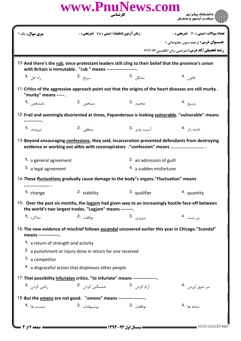|                                      | www.PnuNews.com                                                                                                                                                          | کار شناسی                 | الای دانشکاه پیام نور<br>اراز مرکبز آزمون و سنجش                                                        |
|--------------------------------------|--------------------------------------------------------------------------------------------------------------------------------------------------------------------------|---------------------------|---------------------------------------------------------------------------------------------------------|
| <b>سری سوال:</b> یک ۱                | <b>زمان آزمون (دقیقه) : تستی : 75 ٪ تشریحی : 0</b>                                                                                                                       |                           | <b>تعداد سوالات : تستي : 30 ٪ تشريحي : 0</b>                                                            |
|                                      |                                                                                                                                                                          |                           | <b>عنــوان درس:</b> ترجمه متون مطبوعاتی 1<br><b>رشته تحصیلی/کد درس: مترجمی زبان انگلیسی ۱۲۱۲۰۷۶</b>     |
|                                      | 10-And there's the rub, since protestant leaders still cling to their belief that the province's union<br>with Britain is immutable . "rub " means --------------------. |                           |                                                                                                         |
| 1. راه حل                            | سرنخ .2                                                                                                                                                                  | مشكل . <sup>3</sup>       | قانون 4.                                                                                                |
| "murky" means ----- .                |                                                                                                                                                                          |                           | 11-Critics of the aggressive approach point out that the origins of the heart diseases are still murky. |
| نامشخص 1.                            | مشخص 2.                                                                                                                                                                  | محدود .3                  | وسيع .4                                                                                                 |
|                                      |                                                                                                                                                                          |                           | 12-Frail and seemingly disoriented at times, Papanderous is looking vulnerable. "vulnerable" means      |
| نيرومند <b>1.</b>                    | منطقى 2.                                                                                                                                                                 | آسيب يذي <sub>ر</sub> 3.  | دامنه دار <sup>4</sup> ۰                                                                                |
|                                      | evidence or working out alibis with coconspirators. "confession" means                                                                                                   |                           | 13-Beyond encouraging confessions, they said, incarceration prevented defendants from destroying        |
| 1. a general agreement               | 2. an admission of guilt                                                                                                                                                 |                           |                                                                                                         |
| 3. a legal agreement                 |                                                                                                                                                                          | 4. a sudden misfortune    |                                                                                                         |
|                                      | 14-These fluctuations gradually cause damage to the body"s organs."Fluctuation" means                                                                                    |                           |                                                                                                         |
| 1. change                            | 2. stability                                                                                                                                                             | 3. qualifier              | 4. quantity                                                                                             |
|                                      | the world's two largest trades. "Logjam" means --------.                                                                                                                 |                           | 15- Over the past six months, the logiam had given way to an increasingly hostile face-off between      |
| مذاکره 1.                            | موافقت 2.                                                                                                                                                                | پيروزى .3                 | بن بست <sup>.4</sup>                                                                                    |
| means --------------.                | 16-The new evidence of mischief follows ascandal uncovered earlier this year in Chicago."Scandal"                                                                        |                           |                                                                                                         |
| 1. a return of strength and activity | <sup>2.</sup> a punishment or injury done in return for one received                                                                                                     |                           |                                                                                                         |
| 3. a competitor                      |                                                                                                                                                                          |                           |                                                                                                         |
|                                      | 4. a disgraceful action that displeases other people                                                                                                                     |                           |                                                                                                         |
|                                      | 17-That possibility infuriates critics. "to infuriate" means ----------------.                                                                                           |                           |                                                                                                         |
| راضی کردن <b>1</b> ۰                 | خشمگین کردن <sup>.2</sup>                                                                                                                                                | آ <sub>ر</sub> ام کردن .3 | سر شوق آوردن۔ <sup>4</sup>                                                                              |
|                                      | 18-But the omens are not good. "omens" means ------------------.                                                                                                         |                           |                                                                                                         |
| نشست ها <b>1</b> ۰                   | ييشنهادات 2.                                                                                                                                                             | توافقات .3                | نشانه ها <sup>.4</sup>                                                                                  |
| = صفحه 12; 4 ص                       |                                                                                                                                                                          |                           | $= 1010/101027460$                                                                                      |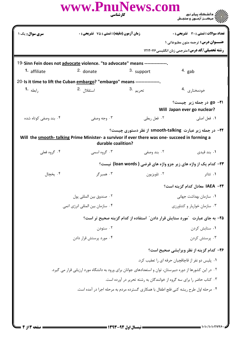|                                                                                                                                                                                  | www.PnuNews.com<br>كارشناسي                                                                                 |             |                                                                                                   |  |  |  |
|----------------------------------------------------------------------------------------------------------------------------------------------------------------------------------|-------------------------------------------------------------------------------------------------------------|-------------|---------------------------------------------------------------------------------------------------|--|--|--|
| سری سوال: یک ۱                                                                                                                                                                   | <b>زمان آزمون (دقیقه) : تستی : 75 تشریحی: 0</b>                                                             |             | تعداد سوالات : تستى : 30 - تشريحي : 0                                                             |  |  |  |
|                                                                                                                                                                                  |                                                                                                             |             | <b>عنــوان درس:</b> ترجمه متون مطبوعاتی ۱<br><b>رشته تحصیلی/کد درس:</b> مترجمی زبان انگلیسی۲۱۲۰۷۶ |  |  |  |
|                                                                                                                                                                                  |                                                                                                             |             |                                                                                                   |  |  |  |
|                                                                                                                                                                                  | 19-Sinn Fein does not advocate violence. "to advocate" means ---------------.                               |             |                                                                                                   |  |  |  |
| 1. affiliate                                                                                                                                                                     | <sup>2.</sup> donate                                                                                        | 3. support  | $4.$ gab                                                                                          |  |  |  |
|                                                                                                                                                                                  | 20-Is it time to lift the Cuban embargo? "embargo" means ----------------.                                  |             |                                                                                                   |  |  |  |
| رابطه <b>1.</b>                                                                                                                                                                  | استقلال <sup>.2</sup>                                                                                       | تحريم .3    | خودمختارى .4                                                                                      |  |  |  |
|                                                                                                                                                                                  |                                                                                                             |             | go -۲۱ در جمله زیر چیست؟<br>Will Japan ever go nuclear?                                           |  |  |  |
| ۰۴ بند وصفی کوتاه شده                                                                                                                                                            | ۰۳ وجه وصفي                                                                                                 | ۰۲ فعل ربطی | ٠١. فعل اصلي                                                                                      |  |  |  |
| ۲۲- در جمله زیر عبارت smooth-talking از نظر دستوری چیست؟<br>Will the smooth-talking Prime Minister- a survivor if ever there was one- succeed in forming a<br>durable coalition? |                                                                                                             |             |                                                                                                   |  |  |  |
| ۰۴ گروه فعلي                                                                                                                                                                     | ۰۳ گروه اسمي                                                                                                | ۰۲ بند وصفی | ۰۱ بند قیدی                                                                                       |  |  |  |
|                                                                                                                                                                                  |                                                                                                             |             | ۲۳- کدام یک از واژه های زیر جزو واژه های قرضی ( loan words) نیست؟                                 |  |  |  |
| ۰۴ پخچال                                                                                                                                                                         | ۰۳ همبرگر                                                                                                   | ۰۲ تلویزیون | ۰۱ تئاتر                                                                                          |  |  |  |
|                                                                                                                                                                                  |                                                                                                             |             | ۲۴– IAEA معادل کدام گزینه است؟                                                                    |  |  |  |
|                                                                                                                                                                                  | ٠٢ صندوق بين المللي پول                                                                                     |             | ۰۱ سازمان بهداشت جهانی                                                                            |  |  |  |
|                                                                                                                                                                                  | ۰۴ سازمان بين المللي انرژي اتمي                                                                             |             | ۰۳ سازمان خواربار و کشاورزی                                                                       |  |  |  |
|                                                                                                                                                                                  |                                                                                                             |             | ۲۵– به جای عبارت ″مورد ستایش قرار دادن″ استفاده از کدام گزینه صحیح تر است؟                        |  |  |  |
|                                                                                                                                                                                  | ۰۲ ستودن                                                                                                    |             | ۰۱ ستايش كردن                                                                                     |  |  |  |
|                                                                                                                                                                                  | ۰۴ مورد پرستش قرار دادن                                                                                     |             | ۰۳ پرستش کردن                                                                                     |  |  |  |
|                                                                                                                                                                                  |                                                                                                             |             | ٢۶- كدام گزينه از نظر ويرايشي صحيح است؟                                                           |  |  |  |
|                                                                                                                                                                                  |                                                                                                             |             | ۰۱ پلیس دو نفر از قاچاقچیان حرفه ای را تعقیب کرد.                                                 |  |  |  |
|                                                                                                                                                                                  | ۲. در این کشورها از دوره دبیرستان، توان و استعدادهای جوانان برای ورود به دانشگاه مورد ارزیابی قرار می گیرد. |             |                                                                                                   |  |  |  |
|                                                                                                                                                                                  | ۰۳ کتاب حاضر را برای سه گروه از خوانندگان به رشته تحریر در آورده است.                                       |             |                                                                                                   |  |  |  |
| ۰۴ مرحله اول طرح ریشه کنی فلج اطفال با همکاری گسترده مردم به مرحله اجرا در آمده است.                                                                                             |                                                                                                             |             |                                                                                                   |  |  |  |
|                                                                                                                                                                                  |                                                                                                             |             |                                                                                                   |  |  |  |
|                                                                                                                                                                                  |                                                                                                             |             |                                                                                                   |  |  |  |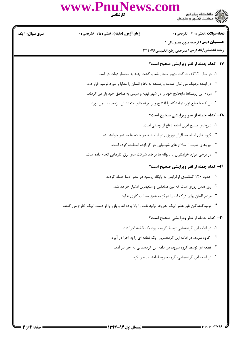## www.Pnul

)<br>)))))) دانشڪاه پيام نور<br>))))) <mark>سری سوال :</mark> ۱ یک تعداد سوالات : تستى : 30 - تشريحي : 0 **زمان آزمون (دقیقه) : تستی : 75 تشریحی: 0 عنــوان درس:** ترجمه متون مطبوعاتی 1 **رشته تحصیلی/کد درس:** مترجمی زبان انگلیسی۲۱۲۰۷۶ **37- کدام جمله از نظر ویرایشی صحیح است؟** ۰۱ در سال ۱۳۱۲، شرکت مزبور منحل شد و کشت پنبه به انحصار دولت در آمد. ۰۲ در اینده نزدیک می توان صدمه واردشده به نخاع انسان را مداوا و مورد ترمیم قرار داد. ۰۳ مردم این روستاها مایحتاج خود را در شهر تهیه و سپس به مناطق خود باز می گردند. ۰۴ آن گاه با قطع نوار، نمایشگاه را افتتاح و از غرفه های متعدد آن بازدید به عمل آورد. **78- کدام جمله از نظر ویرایشی صحیح است؟** ٠١ نيروهاي مسلح ايران آماده دفاع از بوسني است. ۲. گروه های امداد مسافران نوروزی در ایام عید در جاده ها مستقر خواهند شد. ۰۳ نیروهای صرب از سلاح های شیمیایی در گوراژده استفاده کرده است. ۰۴ در برخی موارد خرابکاران یا دیوانه ها بر ضد شرکت های برق کارهایی انجام داده است. **۲۹- کدام جمله از نظر ویرایشی صحیح است؟** ۰۱ حدود ۱۲۰ کماندوی اوکراینی به پایگاه روسیه در بندر ادسا حمله کردند. <sup>۲</sup>۰ روز قدس روزی است که بین منافقین و متعهدین امتیاز خواهد شد. ۰۳ مردم آلمان برای درک قضایا هرگز به عمق مطالب کاری ندارد. ۰۴ تولیدکنندگان غیر عضو اوپک تدریجا تولید نفت را بالا برده اند و بازار را از دست اوپک خارج می کنند. **٣٠**- كدام جمله از نظر ويرايشي صحيح است؟ ٠١ در ادامه اين گردهمايي توسط گروه سرود يک قطعه اجرا شد. ۰۲ گروه سرود، در ادامه این گردهمایی یک قطعه ای را به اجرا در آورد. ۰۳ قطعه ای توسط گروه سرود، در ادامه این گردهمایی به اجرا در آمد. ۰۴ در ادامه این گردهمایی، گروه سرود قطعه ای اجرا کرد.